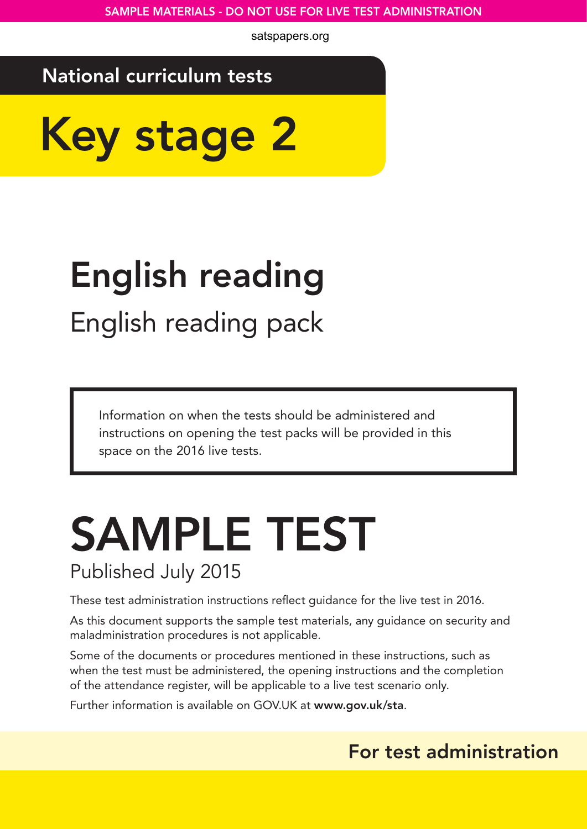satspapers.org

## National curriculum tests

Key stage 2

# English reading English reading pack

Information on when the tests should be administered and instructions on opening the test packs will be provided in this space on the 2016 live tests.

## SAMPLE TEST Published July 2015

These test administration instructions reflect guidance for the live test in 2016.

As this document supports the sample test materials, any guidance on security and maladministration procedures is not applicable.

Some of the documents or procedures mentioned in these instructions, such as when the test must be administered, the opening instructions and the completion of the attendance register, will be applicable to a live test scenario only.

Further information is available on GOV.UK at www.gov.uk/sta.

### For test administration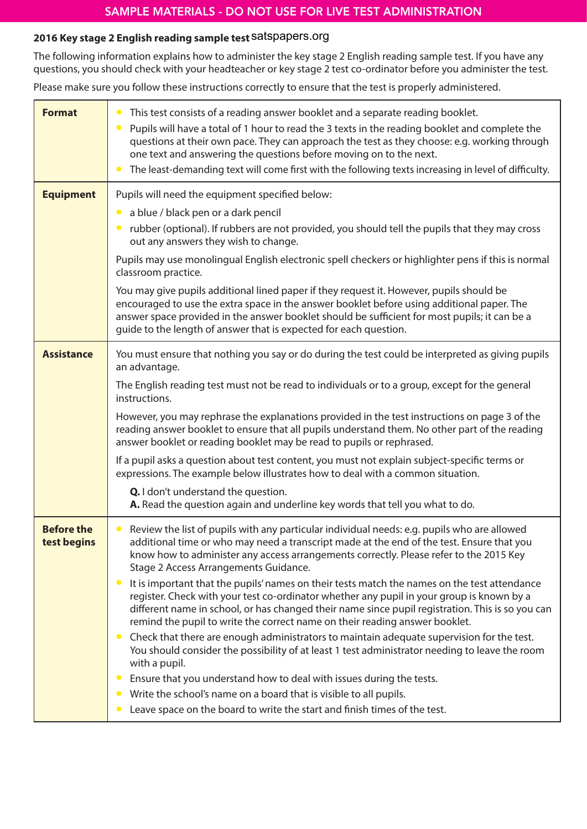#### **2016 Key stage 2 English reading sample test** satspapers.org

The following information explains how to administer the key stage 2 English reading sample test. If you have any questions, you should check with your headteacher or key stage 2 test co-ordinator before you administer the test.

Please make sure you follow these instructions correctly to ensure that the test is properly administered.

| <b>Format</b>                    | This test consists of a reading answer booklet and a separate reading booklet.<br>$\bullet$<br>Pupils will have a total of 1 hour to read the 3 texts in the reading booklet and complete the<br>$\bullet$<br>questions at their own pace. They can approach the test as they choose: e.g. working through<br>one text and answering the questions before moving on to the next.<br>The least-demanding text will come first with the following texts increasing in level of difficulty.<br>$\bullet$                                                                                                                                                                                                                                                                                                                                                                                                                                                                                                                                                                                                                                                                                                     |
|----------------------------------|-----------------------------------------------------------------------------------------------------------------------------------------------------------------------------------------------------------------------------------------------------------------------------------------------------------------------------------------------------------------------------------------------------------------------------------------------------------------------------------------------------------------------------------------------------------------------------------------------------------------------------------------------------------------------------------------------------------------------------------------------------------------------------------------------------------------------------------------------------------------------------------------------------------------------------------------------------------------------------------------------------------------------------------------------------------------------------------------------------------------------------------------------------------------------------------------------------------|
| <b>Equipment</b>                 | Pupils will need the equipment specified below:<br>a blue / black pen or a dark pencil<br>$\bullet$<br>rubber (optional). If rubbers are not provided, you should tell the pupils that they may cross<br>out any answers they wish to change.<br>Pupils may use monolingual English electronic spell checkers or highlighter pens if this is normal<br>classroom practice.<br>You may give pupils additional lined paper if they request it. However, pupils should be<br>encouraged to use the extra space in the answer booklet before using additional paper. The<br>answer space provided in the answer booklet should be sufficient for most pupils; it can be a<br>guide to the length of answer that is expected for each question.                                                                                                                                                                                                                                                                                                                                                                                                                                                                |
| <b>Assistance</b>                | You must ensure that nothing you say or do during the test could be interpreted as giving pupils<br>an advantage.<br>The English reading test must not be read to individuals or to a group, except for the general<br>instructions.<br>However, you may rephrase the explanations provided in the test instructions on page 3 of the<br>reading answer booklet to ensure that all pupils understand them. No other part of the reading<br>answer booklet or reading booklet may be read to pupils or rephrased.<br>If a pupil asks a question about test content, you must not explain subject-specific terms or<br>expressions. The example below illustrates how to deal with a common situation.<br>Q. I don't understand the question.<br>A. Read the question again and underline key words that tell you what to do.                                                                                                                                                                                                                                                                                                                                                                               |
| <b>Before the</b><br>test begins | Review the list of pupils with any particular individual needs: e.g. pupils who are allowed<br>$\bullet$<br>additional time or who may need a transcript made at the end of the test. Ensure that you<br>know how to administer any access arrangements correctly. Please refer to the 2015 Key<br>Stage 2 Access Arrangements Guidance.<br>It is important that the pupils' names on their tests match the names on the test attendance<br>$\bullet$<br>register. Check with your test co-ordinator whether any pupil in your group is known by a<br>different name in school, or has changed their name since pupil registration. This is so you can<br>remind the pupil to write the correct name on their reading answer booklet.<br>Check that there are enough administrators to maintain adequate supervision for the test.<br>$\bullet$<br>You should consider the possibility of at least 1 test administrator needing to leave the room<br>with a pupil.<br>Ensure that you understand how to deal with issues during the tests.<br>$\bullet$<br>Write the school's name on a board that is visible to all pupils.<br>Leave space on the board to write the start and finish times of the test. |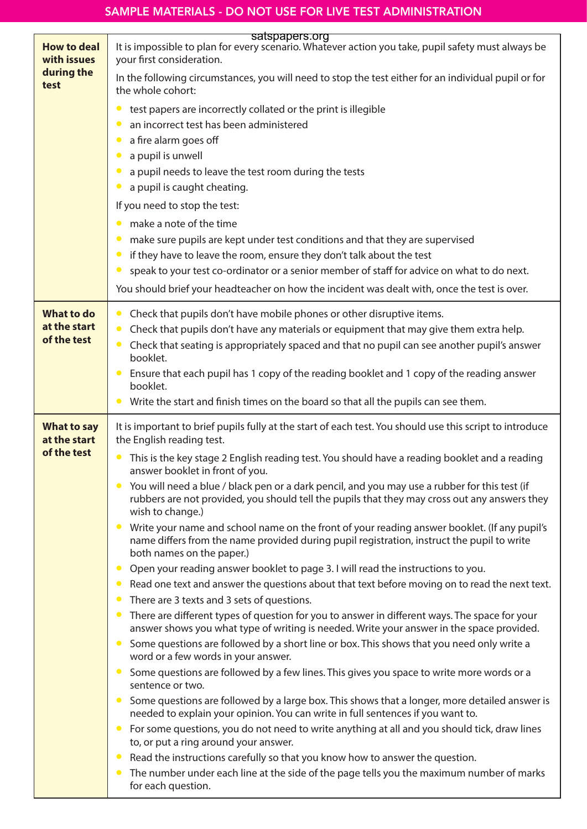| <b>How to deal</b><br>with issues<br>during the<br>test | satspapers.org<br>It is impossible to plan for every scenario. Whatever action you take, pupil safety must always be<br>your first consideration.                                                                  |
|---------------------------------------------------------|--------------------------------------------------------------------------------------------------------------------------------------------------------------------------------------------------------------------|
|                                                         | In the following circumstances, you will need to stop the test either for an individual pupil or for<br>the whole cohort:                                                                                          |
|                                                         | test papers are incorrectly collated or the print is illegible                                                                                                                                                     |
|                                                         | an incorrect test has been administered                                                                                                                                                                            |
|                                                         | a fire alarm goes off                                                                                                                                                                                              |
|                                                         | a pupil is unwell                                                                                                                                                                                                  |
|                                                         | a pupil needs to leave the test room during the tests<br>a pupil is caught cheating.                                                                                                                               |
|                                                         | If you need to stop the test:                                                                                                                                                                                      |
|                                                         | make a note of the time                                                                                                                                                                                            |
|                                                         | make sure pupils are kept under test conditions and that they are supervised                                                                                                                                       |
|                                                         | if they have to leave the room, ensure they don't talk about the test                                                                                                                                              |
|                                                         | speak to your test co-ordinator or a senior member of staff for advice on what to do next.                                                                                                                         |
|                                                         | You should brief your headteacher on how the incident was dealt with, once the test is over.                                                                                                                       |
| <b>What to do</b>                                       | Check that pupils don't have mobile phones or other disruptive items.                                                                                                                                              |
| at the start                                            | Check that pupils don't have any materials or equipment that may give them extra help.                                                                                                                             |
| of the test                                             | Check that seating is appropriately spaced and that no pupil can see another pupil's answer                                                                                                                        |
|                                                         | booklet.<br>Ensure that each pupil has 1 copy of the reading booklet and 1 copy of the reading answer                                                                                                              |
|                                                         | booklet.                                                                                                                                                                                                           |
|                                                         | Write the start and finish times on the board so that all the pupils can see them.                                                                                                                                 |
| <b>What to say</b><br>at the start                      | It is important to brief pupils fully at the start of each test. You should use this script to introduce                                                                                                           |
|                                                         | the English reading test.                                                                                                                                                                                          |
| of the test                                             | This is the key stage 2 English reading test. You should have a reading booklet and a reading<br>answer booklet in front of you.                                                                                   |
|                                                         | You will need a blue / black pen or a dark pencil, and you may use a rubber for this test (if<br>rubbers are not provided, you should tell the pupils that they may cross out any answers they<br>wish to change.) |
|                                                         | Write your name and school name on the front of your reading answer booklet. (If any pupil's<br>name differs from the name provided during pupil registration, instruct the pupil to write                         |
|                                                         | both names on the paper.)<br>Open your reading answer booklet to page 3. I will read the instructions to you.                                                                                                      |
|                                                         | Read one text and answer the questions about that text before moving on to read the next text.                                                                                                                     |
|                                                         | There are 3 texts and 3 sets of questions.                                                                                                                                                                         |
|                                                         | There are different types of question for you to answer in different ways. The space for your<br>answer shows you what type of writing is needed. Write your answer in the space provided.                         |
|                                                         | Some questions are followed by a short line or box. This shows that you need only write a<br>$\bullet$<br>word or a few words in your answer.                                                                      |
|                                                         | Some questions are followed by a few lines. This gives you space to write more words or a<br>sentence or two.                                                                                                      |
|                                                         | Some questions are followed by a large box. This shows that a longer, more detailed answer is<br>needed to explain your opinion. You can write in full sentences if you want to.                                   |
|                                                         | For some questions, you do not need to write anything at all and you should tick, draw lines<br>to, or put a ring around your answer.                                                                              |
|                                                         | Read the instructions carefully so that you know how to answer the question.<br>The number under each line at the side of the page tells you the maximum number of marks<br>$\bullet$                              |